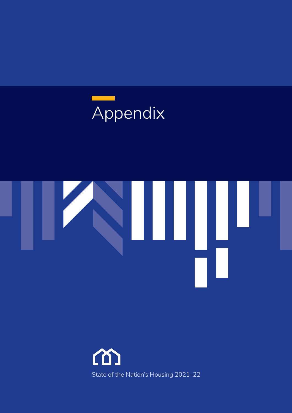



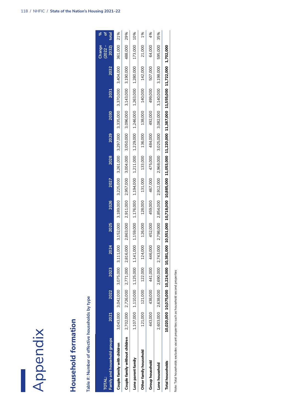

| Appendix                                        |           |                               |                                         |           |           |           |           |           |           |           |           |                                                                                                                                     |                              |                 |
|-------------------------------------------------|-----------|-------------------------------|-----------------------------------------|-----------|-----------|-----------|-----------|-----------|-----------|-----------|-----------|-------------------------------------------------------------------------------------------------------------------------------------|------------------------------|-----------------|
| Household formation                             |           |                               |                                         |           |           |           |           |           |           |           |           |                                                                                                                                     |                              |                 |
| Table #: Number of effective households by type |           |                               |                                         |           |           |           |           |           |           |           |           |                                                                                                                                     |                              |                 |
| Family and household groups<br><b>TOTAL:</b>    | 2021      | 2022                          | 2023                                    | 2024      | 2025      | 2026      | 2027      | 2028      | 2029      | 2030      | 2031      | 2032                                                                                                                                | Change<br>$(2022 -$<br>2032) | L<br>ď<br>total |
| Couple family with children                     | 3,043,000 | 3,042,000                     | 3,075,000                               | 3,111,000 | 3,152,000 | 3,189,000 | 3,225,000 | 3,261,000 | 3,297,000 | 3,335,000 | 3,370,000 | 3,404,000                                                                                                                           | 361,000                      | 21%             |
| Couple family without children                  |           |                               | 2,702,000 2,726,000 2,771,000 2,816,000 |           | 2,863,000 | 2,911,000 | 2,957,000 | 3,004,000 | 3,050,000 | 3,096,000 | 3,143,000 | 3,190,000                                                                                                                           | 488,000                      | 29%             |
| Lone parent family                              |           | 1,107,000 1,110,000 1,125,000 |                                         | 1,141,000 | 1,159,000 | 1,176,000 | 1,194,000 | 1,211,000 | 1,229,000 | 1,246,000 | 1,263,000 | 1,280,000                                                                                                                           | 173,000                      | 10%             |
| Other family household                          | 121,000   | 121,000                       | 122,000                                 | 124,000   | 126,000   | 128,000   | 131,000   | 133,000   | 136,000   | 138,000   | 140,000   | 142,000                                                                                                                             | 21,000                       | 1%              |
| <b>Group household</b>                          | 443,000   | 438,000                       | 441,000                                 | 446,000   | 452,000   | 459,000   | 467,000   | 475,000   | 484,000   | 492,000   | 499,000   | 507,000                                                                                                                             | 64,000                       | 4%              |
| Lone household                                  | 2,603,000 | 2,638,000                     | 2,690,000                               | 2,743,000 | 2,798,000 | 2,854,000 | 2,912,000 | 2,968,000 | 3,025,000 | 3,082,000 | 3,140,000 | 3,198,000                                                                                                                           | 595,000                      | 35%             |
| <b>Total households</b>                         |           |                               |                                         |           |           |           |           |           |           |           |           | 10,075,000 10,075,000 10,224,000 10,381,000 10,551,000 10,718,000 10,885,000 11,053,000 11,387,000 11,555,000 11,722,000 12,702,000 |                              |                 |
|                                                 |           |                               |                                         |           |           |           |           |           |           |           |           |                                                                                                                                     |                              |                 |

Note: Total households excludes vacant properties such as household second properties Note: Total households excludes vacant properties such as household second properties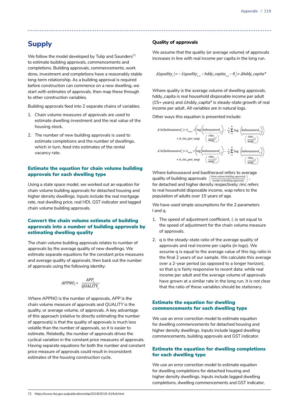# **Supply**

We follow the model developed by Tulip and Saunders<sup>72</sup> to estimate building approvals, commencements and completions. Building approvals, commencements, work done, investment and completions have a reasonably stable long-term relationship. As a building approval is required before construction can commence on a new dwelling, we start with estimates of approvals, then map these through to other construction variables.

Building approvals feed into 2 separate chains of variables.

- 1. Chain volume measures of approvals are used to estimate dwelling investment and the real value of the housing stock.
- 2. The number of new building approvals is used to estimate completions and the number of dwellings, which in turn, feed into estimates of the rental vacancy rate.

# Estimate the equation for chain volume building approvals for each dwelling type

Using a state space model, we worked out an equation for chain volume building approvals for detached housing and higher density dwellings. Inputs include the real mortgage rate, real dwelling price, real HDI, GST indicator and lagged chain volume building approvals.

# Convert the chain volume estimate of building approvals into a number of building approvals by estimating dwelling quality

The chain volume building approvals relates to number of approvals by the average quality of new dwellings. We estimate separate equations for the constant price measures and average quality of approvals, then back out the number of approvals using the following identity:

$$
APPNO_t = \frac{APP_t}{QUALITY_t}
$$

Where *APPNO* is the number of approvals, *APP* is the chain volume measure of approvals and *QUALITY* is the quality, or average volume, of approvals. A key advantage of this approach (relative to directly estimating the number of approvals) is that the quality of approvals is much less volatile than the number of approvals, so it is easier to estimate. Relatedly, the number of approvals drives the cyclical variation in the constant price measures of approvals. Having separate equations for both the number and constant price measure of approvals could result in inconsistent estimates of the housing construction cycle.

# **Quality of approvals**

We assume that the quality (or average volume) of approvals increases in line with real income per capita in the long run.

$$
\Delta(quality_t) = -\lambda(quality_{t-1} - hddy\_capita_{t-1} - \theta_t) + \Delta hddy\_capita^*
$$

Where quality is the average volume of dwelling approvals, hddy\_capita is real household disposable income per adult (15+ years) and Δhddy\_capita\* is steady-state growth of real income per adult. All variables are in natural logs.

Other ways this equation is presented include:

$$
\begin{aligned} \Delta \ln(b a houseavol_{t}) & = \lambda_{house} \times \left(\log\left(b a houseavol_{t_{2}}\right) - \frac{1}{8} \sum_{i=1}^{8} \log\left(b a houseavol_{t_{2}}\right)\right) \\ & + ir\_inc\_per\_wap \quad \left(\frac{rinc_{t_{2}}}{wap_{t_{2}}}\right) \quad \left(\frac{rinc_{t_{2}}}{wap_{t_{2}}}\right) \\ \Delta \ln(b a houseavol_{t}) & = \lambda_{other} \times \left(\log\left(b a houseavol_{t_{2}}\right) - \frac{1}{8} \sum_{i=1}^{8} \log\left(b a houseavol_{t_{2}}\right)\right) \\ & + ir\_inc\_per\_wap \quad \left(\frac{rinc_{t_{2}}}{wap_{t_{2}}}\right) \quad \left(\frac{rinc_{t_{2}}}{wap_{t_{2}}}\right) \end{aligned}
$$

Where bahouseavol and baotheravol refers to average quality of building approvals (*chain volume building approvals* for detached and higher density respectively; rinc refers to real household disposable income, wap refers to the population of adults over 15 years of age. *number of building approvals*

We have used simple assumptions for the 2 parameters l and q.

- 1. The speed of adjustment coefficient, l, is set equal to the speed of adjustment for the chain volume measure of approvals.
- 2. q is the steady-state ratio of the average quality of approvals and real income per capita (in logs). We assume q is equal to the average value of this log-ratio in the final 2 years of our sample. We calculate this average over a 2-year period (as opposed to a longer horizon), so that q is fairly responsive to recent data: while real income per adult and the average volume of approvals have grown at a similar rate in the long run, it is not clear that the ratio of these variables should be stationary.

# Estimate the equation for dwelling commencements for each dwelling type

We use an error correction model to estimate equation for dwelling commencements for detached housing and higher density dwellings. Inputs include lagged dwelling commencements, building approvals and GST indicator.

# Estimate the equation for dwelling completions for each dwelling type

We use an error correction model to estimate equation for dwelling completions for detached housing and higher density dwellings. Inputs include lagged dwelling completions, dwelling commencements and GST indicator.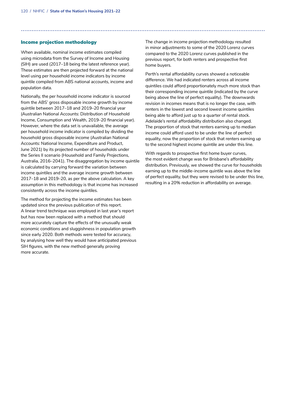### Income projection methodology

When available, nominal income estimates compiled using microdata from the Survey of Income and Housing (SIH) are used (2017–18 being the latest reference year). These estimates are then projected forward at the national level using per household income indicators by income quintile compiled from ABS national accounts, income and population data.

Nationally, the per household income indicator is sourced from the ABS' gross disposable income growth by income quintile between 2017–18 and 2019–20 financial year (Australian National Accounts: Distribution of Household Income, Consumption and Wealth, 2019–20 financial year). However, where the data set is unavailable, the average per household income indicator is compiled by dividing the household gross disposable income (Australian National Accounts: National Income, Expenditure and Product, June 2021) by its projected number of households under the Series II scenario (Household and Family Projections, Australia, 2016–2041). The disaggregation by income quintile is calculated by carrying forward the variation between income quintiles and the average income growth between 2017–18 and 2019–20, as per the above calculation. A key assumption in this methodology is that income has increased consistently across the income quintiles.

The method for projecting the income estimates has been updated since the previous publication of this report. A linear trend technique was employed in last year's report but has now been replaced with a method that should more accurately capture the effects of the unusually weak economic conditions and sluggishness in population growth since early 2020. Both methods were tested for accuracy, by analysing how well they would have anticipated previous SIH figures, with the new method generally proving more accurate.

The change in income projection methodology resulted in minor adjustments to some of the 2020 Lorenz curves compared to the 2020 Lorenz curves published in the previous report, for both renters and prospective first home buyers.

Perth's rental affordability curves showed a noticeable difference. We had indicated renters across all income quintiles could afford proportionately much more stock than their corresponding income quintile (indicated by the curve being above the line of perfect equality). The downwards revision in incomes means that is no longer the case, with renters in the lowest and second lowest income quintiles being able to afford just up to a quarter of rental stock. Adelaide's rental affordability distribution also changed. The proportion of stock that renters earning up to median income could afford used to be under the line of perfect equality, now the proportion of stock that renters earning up to the second highest income quintile are under this line.

With regards to prospective first home buyer curves, the most evident change was for Brisbane's affordability distribution. Previously, we showed the curve for households earning up to the middle-income quintile was above the line of perfect equality, but they were revised to be under this line, resulting in a 20% reduction in affordability on average.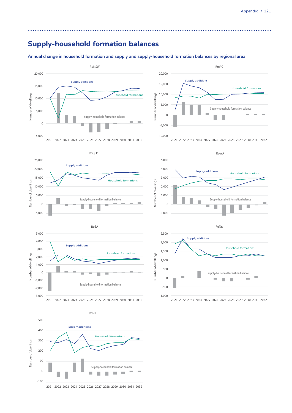# **Supply-household formation balances**

**Annual change in household formation and supply and supply-household formation balances by regional area**



2021 2022 2023 2024 2025 2026 2027 2028 2029 2030 2031 2032

**Supply-household formaon balance**

 $\Omega$ 

-100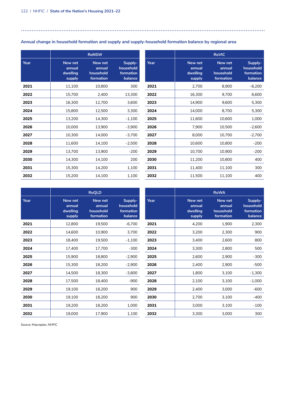Π

## 

|      |                                         | <b>RoNSW</b>                                |                                              |
|------|-----------------------------------------|---------------------------------------------|----------------------------------------------|
| Year | New net<br>annual<br>dwelling<br>supply | New net<br>annual<br>household<br>formation | Supply-<br>household<br>formation<br>balance |
| 2021 | 11,100                                  | 10,800                                      | 300                                          |
| 2022 | 15,700                                  | 2,400                                       | 13,300                                       |
| 2023 | 16,300                                  | 12,700                                      | 3,600                                        |
| 2024 | 15,800                                  | 12,500                                      | 3,300                                        |
| 2025 | 13,200                                  | 14,300                                      | $-1,100$                                     |
| 2026 | 10,000                                  | 13,900                                      | $-3,900$                                     |
| 2027 | 10,300                                  | 14,000                                      | $-3,700$                                     |
| 2028 | 11,600                                  | 14,100                                      | $-2,500$                                     |
| 2029 | 13,700                                  | 13,900                                      | $-200$                                       |
| 2030 | 14,300                                  | 14,100                                      | 200                                          |
| 2031 | 15,300                                  | 14,200                                      | 1,100                                        |
| 2032 | 15,200                                  | 14,100                                      | 1,100                                        |

|      |                                         | <b>RoVIC</b>                                |                                              |
|------|-----------------------------------------|---------------------------------------------|----------------------------------------------|
| Year | New net<br>annual<br>dwelling<br>supply | New net<br>annual<br>household<br>formation | Supply-<br>household<br>formation<br>balance |
| 2021 | 2,700                                   | 8,900                                       | $-6,200$                                     |
| 2022 | 16,300                                  | 9,700                                       | 6,600                                        |
| 2023 | 14,900                                  | 9,600                                       | 5,300                                        |
| 2024 | 14,000                                  | 8,700                                       | 5,300                                        |
| 2025 | 11,600                                  | 10,600                                      | 1,000                                        |
| 2026 | 7,900                                   | 10,500                                      | $-2,600$                                     |
| 2027 | 8,000                                   | 10.700                                      | $-2,700$                                     |
| 2028 | 10,600                                  | 10,800                                      | $-200$                                       |
| 2029 | 10,700                                  | 10,900                                      | $-200$                                       |
| 2030 | 11,200                                  | 10,800                                      | 400                                          |
| 2031 | 11,400                                  | 11,100                                      | 300                                          |
| 2032 | 11,500                                  | 11,100                                      | 400                                          |

|      |                                         | <b>RoQLD</b>                                |                                              |
|------|-----------------------------------------|---------------------------------------------|----------------------------------------------|
| Year | New net<br>annual<br>dwelling<br>supply | New net<br>annual<br>household<br>formation | Supply-<br>household<br>formation<br>balance |
| 2021 | 12,800                                  | 19,500                                      | $-6,700$                                     |
| 2022 | 14,600                                  | 10,900                                      | 3,700                                        |
| 2023 | 18,400                                  | 19,500                                      | $-1,100$                                     |
| 2024 | 17,400                                  | 17,700                                      | $-300$                                       |
| 2025 | 15,900                                  | 18,800                                      | $-2,900$                                     |
| 2026 | 15,300                                  | 18,200                                      | $-2,900$                                     |
| 2027 | 14,500                                  | 18,300                                      | $-3,800$                                     |
| 2028 | 17,500                                  | 18,400                                      | $-900$                                       |
| 2029 | 19,100                                  | 18,200                                      | 900                                          |
| 2030 | 19,100                                  | 18,200                                      | 900                                          |
| 2031 | 19,200                                  | 18,200                                      | 1,000                                        |
| 2032 | 19,000                                  | 17,900                                      | 1,100                                        |

|      |                                         | <b>RoWA</b>                                 |                                              |
|------|-----------------------------------------|---------------------------------------------|----------------------------------------------|
| Year | New net<br>annual<br>dwelling<br>supply | New net<br>annual<br>household<br>formation | Supply-<br>household<br>formation<br>balance |
| 2021 | 4,200                                   | 1,900                                       | 2,300                                        |
| 2022 | 3,200                                   | 2,300                                       | 900                                          |
| 2023 | 3,400                                   | 2,600                                       | 800                                          |
| 2024 | 3,300                                   | 2,800                                       | 500                                          |
| 2025 | 2,600                                   | 2,900                                       | $-300$                                       |
| 2026 | 2,400                                   | 2,900                                       | $-500$                                       |
| 2027 | 1,800                                   | 3,100                                       | $-1,300$                                     |
| 2028 | 2,100                                   | 3,100                                       | $-1,000$                                     |
| 2029 | 2,400                                   | 3,000                                       | $-600$                                       |
| 2030 | 2,700                                   | 3,100                                       | -400                                         |
| 2031 | 3,000                                   | 3,100                                       | $-100$                                       |
| 2032 | 3,300                                   | 3.000                                       | 300                                          |

Source: Macroplan, NHFIC

# **Annual change in household formation and supply and supply-household formation balance by regional area**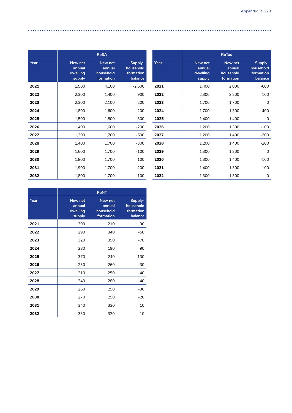|      |                                         | <b>RoTas</b>                                |                                              |
|------|-----------------------------------------|---------------------------------------------|----------------------------------------------|
| Year | New net<br>annual<br>dwelling<br>supply | New net<br>annual<br>household<br>formation | Supply-<br>household<br>formation<br>balance |
| 2021 | 1,400                                   | 2,000                                       | $-600$                                       |
| 2022 | 2,300                                   | 2,200                                       | 100                                          |
| 2023 | 1,700                                   | 1,700                                       | 0                                            |
| 2024 | 1,700                                   | 1,300                                       | 400                                          |
| 2025 | 1,400                                   | 1,400                                       | $\Omega$                                     |
| 2026 | 1,200                                   | 1,300                                       | $-100$                                       |
| 2027 | 1,200                                   | 1,400                                       | $-200$                                       |
| 2028 | 1,200                                   | 1,400                                       | $-200$                                       |
| 2029 | 1,300                                   | 1,300                                       | 0                                            |
| 2030 | 1,300                                   | 1,400                                       | $-100$                                       |
| 2031 | 1,400                                   | 1,300                                       | 100                                          |
| 2032 | 1,300                                   | 1,300                                       | 0                                            |

|      |                                         | <b>RoSA</b>                                 |                                              |
|------|-----------------------------------------|---------------------------------------------|----------------------------------------------|
| Year | New net<br>annual<br>dwelling<br>supply | New net<br>annual<br>household<br>formation | Supply-<br>household<br>formation<br>balance |
| 2021 | 1,500                                   | 4,100                                       | $-2,600$                                     |
| 2022 | 2,300                                   | 1,400                                       | 900                                          |
| 2023 | 2,300                                   | 2,100                                       | 200                                          |
| 2024 | 1,800                                   | 1,600                                       | 200                                          |
| 2025 | 1,500                                   | 1,800                                       | $-300$                                       |
| 2026 | 1,400                                   | 1,600                                       | $-200$                                       |
| 2027 | 1,200                                   | 1,700                                       | -500                                         |
| 2028 | 1,400                                   | 1,700                                       | $-300$                                       |
| 2029 | 1,600                                   | 1,700                                       | $-100$                                       |
| 2030 | 1,800                                   | 1,700                                       | 100                                          |
| 2031 | 1,900                                   | 1,700                                       | 200                                          |
| 2032 | 1,800                                   | 1,700                                       | 100                                          |

|      |                                         | <b>RoNT</b>                                 |                                              |
|------|-----------------------------------------|---------------------------------------------|----------------------------------------------|
| Year | New net<br>annual<br>dwelling<br>supply | New net<br>annual<br>household<br>formation | Supply-<br>household<br>formation<br>balance |
| 2021 | 300                                     | 210                                         | 90                                           |
| 2022 | 290                                     | 340                                         | -50                                          |
| 2023 | 320                                     | 390                                         | $-70$                                        |
| 2024 | 280                                     | 190                                         | 90                                           |
| 2025 | 370                                     | 240                                         | 130                                          |
| 2026 | 230                                     | 260                                         | $-30$                                        |
| 2027 | 210                                     | 250                                         | -40                                          |
| 2028 | 240                                     | 280                                         | $-40$                                        |
| 2029 | 260                                     | 290                                         | $-30$                                        |
| 2030 | 270                                     | 290                                         | $-20$                                        |
| 2031 | 340                                     | 330                                         | 10                                           |
| 2032 | 330                                     | 320                                         | 10                                           |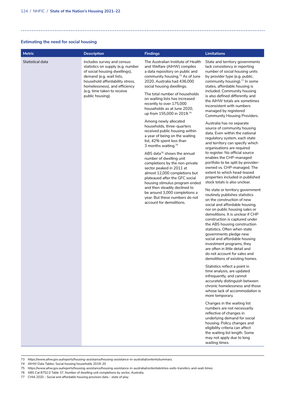## **Estimating the need for social housing**

| <b>Metric</b>    | <b>Description</b>                                                                                                                                                                                                              | <b>Findings</b>                                                                                                                                                                                                                                                                                                                                                                                | <b>Limitations</b>                                                                                                                                                                                                                                                                                                                                                                                                                                                                                                                       |
|------------------|---------------------------------------------------------------------------------------------------------------------------------------------------------------------------------------------------------------------------------|------------------------------------------------------------------------------------------------------------------------------------------------------------------------------------------------------------------------------------------------------------------------------------------------------------------------------------------------------------------------------------------------|------------------------------------------------------------------------------------------------------------------------------------------------------------------------------------------------------------------------------------------------------------------------------------------------------------------------------------------------------------------------------------------------------------------------------------------------------------------------------------------------------------------------------------------|
| Statistical data | Includes survey and census<br>statistics on supply (e.g. number<br>of social housing dwellings),<br>demand (e.g. wait lists,<br>household affordability stress,<br>homelessness), and efficiency<br>(e.g. time taken to receive | The Australian Institute of Health<br>and Welfare (AIHW) compiles<br>a data repository on public and<br>community housing. <sup>73</sup> As of June<br>2020, Australia had 436,000<br>social housing dwellings.                                                                                                                                                                                | State and territory governments<br>lack consistency in reporting<br>number of social housing units<br>by provider type (e.g. public,<br>community housing). <sup>77</sup> In some<br>states, affordable housing is<br>included. Community housing                                                                                                                                                                                                                                                                                        |
|                  | public housing).                                                                                                                                                                                                                | The total number of households<br>on waiting lists has increased<br>recently to over 175,000<br>households as at June 2020,<br>up from 155,000 in 2019.74                                                                                                                                                                                                                                      | is also defined differently and<br>the AIHW totals are sometimes<br>inconsistent with numbers<br>managed by registered<br>Community Housing Providers.                                                                                                                                                                                                                                                                                                                                                                                   |
|                  |                                                                                                                                                                                                                                 | Among newly allocated<br>households, three-quarters<br>received public housing within<br>a year of being on the waiting<br>list, 42% spent less than<br>3 months waiting. <sup>75</sup><br>ABS data <sup>76</sup> shows the annual<br>number of dwelling unit<br>completions by the non-private<br>sector peaked in 2011 at<br>almost 12,000 completions but<br>plateaued after the GFC social | Australia has no separate<br>source of community housing<br>data. Even within the national<br>regulatory system, each state<br>and territory can specify which<br>organisations are required<br>to register. No official source<br>enables the CHP-managed<br>portfolio to be split by provider-<br>owned vs. CHP-managed. The<br>extent to which head-leased<br>properties included in published                                                                                                                                        |
|                  |                                                                                                                                                                                                                                 | housing stimulus program ended<br>and then steadily declined to<br>be around 3,000 completions a<br>year. But these numbers do not<br>account for demolitions.                                                                                                                                                                                                                                 | stock totals is also unclear.<br>No state or territory government<br>routinely publishes statistics<br>on the construction of new<br>social and affordable housing,<br>nor on public housing sales or<br>demolitions. It is unclear if CHP<br>construction is captured under<br>the ABS housing construction<br>statistics. Often when state<br>governments pledge new<br>social and affordable housing<br>investment programs, they<br>are often in little detail and<br>do not account for sales and<br>demolitions of existing homes. |
|                  |                                                                                                                                                                                                                                 |                                                                                                                                                                                                                                                                                                                                                                                                | Statistics reflect a point in<br>time analysis, are updated<br>infrequently, and cannot<br>accurately distinguish between<br>chronic homelessness and those<br>whose lack of accommodation is<br>more temporary.                                                                                                                                                                                                                                                                                                                         |
|                  |                                                                                                                                                                                                                                 |                                                                                                                                                                                                                                                                                                                                                                                                | Changes in the waiting list<br>numbers are not necessarily<br>reflective of changes in<br>underlying demand for social<br>housing. Policy changes and<br>eligibility criteria can affect<br>the waiting list length. Some<br>may not apply due to long<br>waiting times.                                                                                                                                                                                                                                                                 |

<sup>73</sup> https://www.aihw.gov.au/reports/housing-assistance/housing-assistance-in-australia/contents/summary

- 74 AIHW Data Tables: Social housing households 2019–20
- 75 https://www.aihw.gov.au/reports/housing-assistance/housing-assistance-in-australia/contents/entries-exits-transfers-and-wait-times
- 76 ABS Cat 8752.0 Table 37, Number of dwelling unit completions by sector, Australia.
- 77 CHIA 2020 Social and affordable housing provision data state of play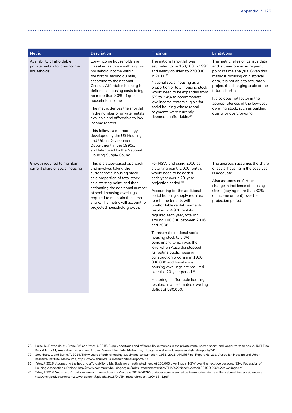| <b>Metric</b>                                                             | <b>Description</b>                                                                                                                                                                                                                                                                                                                                                                                                                                                                                                                                                                        | <b>Findings</b>                                                                                                                                                                                                                                                                                                                                                                                                                                                                                                                                                                                                                                                                                                                                                                            | <b>Limitations</b>                                                                                                                                                                                                                                                                                                                                                                |
|---------------------------------------------------------------------------|-------------------------------------------------------------------------------------------------------------------------------------------------------------------------------------------------------------------------------------------------------------------------------------------------------------------------------------------------------------------------------------------------------------------------------------------------------------------------------------------------------------------------------------------------------------------------------------------|--------------------------------------------------------------------------------------------------------------------------------------------------------------------------------------------------------------------------------------------------------------------------------------------------------------------------------------------------------------------------------------------------------------------------------------------------------------------------------------------------------------------------------------------------------------------------------------------------------------------------------------------------------------------------------------------------------------------------------------------------------------------------------------------|-----------------------------------------------------------------------------------------------------------------------------------------------------------------------------------------------------------------------------------------------------------------------------------------------------------------------------------------------------------------------------------|
| Availability of affordable<br>private rentals to low-income<br>households | Low-income households are<br>classified as those with a gross<br>household income within<br>the first or second quintile,<br>according to the national<br>Census. Affordable housing is<br>defined as housing costs being<br>no more than 30% of gross<br>household income.<br>The metric derives the shortfall<br>in the number of private rentals<br>available and affordable to low-<br>income renters.<br>This follows a methodology<br>developed by the US Housing<br>and Urban Development<br>Department in the 1990s,<br>and later used by the National<br>Housing Supply Council. | The national shortfall was<br>estimated to be 150,000 in 1996<br>and nearly doubled to 270,000<br>in 2011.78<br>National social housing as a<br>proportion of total housing stock<br>would need to be expanded from<br>5% to 8.4% to accommodate<br>low-income renters eligible for<br>social housing whose rental<br>payments were currently<br>deemed unaffordable. <sup>79</sup>                                                                                                                                                                                                                                                                                                                                                                                                        | The metric relies on census data<br>and is therefore an infrequent<br>point in time analysis. Given this<br>metric is focusing on historical<br>data, it is not able to accurately<br>project the changing scale of the<br>future shortfall.<br>It also does not factor in the<br>appropriateness of the low-cost<br>dwelling stock, such as building<br>quality or overcrowding. |
| Growth required to maintain<br>current share of social housing            | This is a state-based approach<br>and involves taking the<br>current social housing stock<br>as a proportion of total stock<br>as a starting point, and then<br>estimating the additional number<br>of social housing dwellings<br>required to maintain the current<br>share. The metric will account for<br>projected household growth.                                                                                                                                                                                                                                                  | For NSW and using 2016 as<br>a starting point, 2,000 rentals<br>would need to be added<br>each year over a 20-year<br>projection period. <sup>80</sup><br>Accounting for the additional<br>social housing supply required<br>to rehome tenants with<br>unaffordable rental payments<br>resulted in 4,900 rentals<br>required each year, totalling<br>around 100,000 between 2016<br>and 2036.<br>To return the national social<br>housing stock to a 6%<br>benchmark, which was the<br>level when Australia stopped<br>its routine public housing<br>construction program in 1996,<br>330,000 additional social<br>housing dwellings are required<br>over the 20-year period. <sup>81</sup><br>Factoring in affordable housing<br>resulted in an estimated dwelling<br>deficit of 580,000. | The approach assumes the share<br>of social housing in the base year<br>is adequate.<br>Also assumes no further<br>change in incidence of housing<br>stress (paying more than 30%<br>of income on rent) over the<br>projection period                                                                                                                                             |

78 Hulse, K., Reynolds, M., Stone, W. and Yates, J. 2015, Supply shortages and affordability outcomes in the private rental sector: short- and longer-term trends, AHURI Final Report No. 241, Australian Housing and Urban Research Institute, Melbourne, https://www.ahuri.edu.au/research/final-reports/241.

79 Groenhart, L. and Burke, T. 2014, Thirty years of public housing supply and consumption: 1981–2011, AHURI Final Report No. 231, Australian Housing and Urban Research Institute, Melbourne, https://www.ahuri.edu.au/research/final-reports/231.

80 Yates, J. 2016, Addressing the housing affordability crisis: Basis for an estimated need of 100,000 dwellings in NSW over the next two decades, NSW Federation of Housing Associations, Sydney, http://www.communityhousing.org.au/index\_attachments/NSWFHA%20Need%20for%2010 0,000%20dwellings.pdf

81 Yates, J. 2018, Social and Affordable Housing Projections for Australia 2016–2026/36, Paper commissioned by Everybody's Home – The National Housing Campaign, http://everybodyshome.com.au/wp-content/uploads/2018/04/EH\_researchreport\_190418- 1.pdf.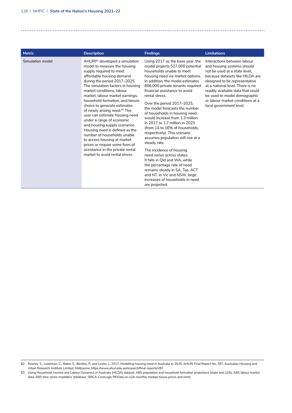| <b>Metric</b>    | <b>Description</b>                                                                                                                                                                                                                                                                                                                                                                                                                                                                                                                                                                                                                                                                            | <b>Findings</b>                                                                                                                                                                                                                                                                                                                                                                                                                                                                                                                                                                                                                                                                                                                                                                                                 | <b>Limitations</b>                                                                                                                                                                                                                                                                                                                     |
|------------------|-----------------------------------------------------------------------------------------------------------------------------------------------------------------------------------------------------------------------------------------------------------------------------------------------------------------------------------------------------------------------------------------------------------------------------------------------------------------------------------------------------------------------------------------------------------------------------------------------------------------------------------------------------------------------------------------------|-----------------------------------------------------------------------------------------------------------------------------------------------------------------------------------------------------------------------------------------------------------------------------------------------------------------------------------------------------------------------------------------------------------------------------------------------------------------------------------------------------------------------------------------------------------------------------------------------------------------------------------------------------------------------------------------------------------------------------------------------------------------------------------------------------------------|----------------------------------------------------------------------------------------------------------------------------------------------------------------------------------------------------------------------------------------------------------------------------------------------------------------------------------------|
| Simulation model | AHUR <sup>82</sup> developed a simulation<br>model to measure the housing<br>supply required to meet<br>affordable housing demand<br>during the period 2017-2025.<br>The simulation factors in housing<br>market conditions. Jabour<br>market, labour market earnings,<br>household formation, and tenure<br>choice to generate estimates<br>of newly arising need. <sup>83</sup> The<br>user can estimate housing need<br>under a range of economic<br>and housing supply scenarios.<br>Housing need is defined as the<br>number of households unable<br>to access housing at market<br>prices or require some form of<br>assistance in the private rental<br>market to avoid rental stress. | Using 2017 as the base year, the<br>model projects 527,000 potential<br>households unable to meet<br>housing need via market options.<br>In addition, the model estimates<br>806,000 private tenants required<br>financial assistance to avoid<br>rental stress.<br>Over the period 2017-2025,<br>the model forecasts the number<br>of households in housing need<br>would increase from 1.3 million<br>in 2017 to 1.7 million in 2025<br>(from 14 to 16% of households,<br>respectively). This scenario<br>assumes population will rise at a<br>steady rate.<br>The incidence of housing<br>need varies across states.<br>It falls in QId and WA, while<br>the percentage rate of need<br>remains steady in SA, Tas, ACT<br>and NT. In Vic and NSW, large<br>increases of households in need<br>are projected. | Interactions between labour<br>and housing systems should<br>not be used at a state level.<br>because datasets like HILDA are<br>designed to be representative<br>at a national level. There is no<br>readily available data that could<br>be used to model demographic<br>or labour market conditions at a<br>local government level. |

<sup>82</sup> Rowley, S., Leishman, C., Baker, E., Bentley, R. and Lester, L. 2017, Modelling housing need in Australia to 2025, AHURI Final Report No. 287, Australian Housing and Urban Research Institute Limited, Melbourne, https://www.ahuri.edu.au/research/final-reports/287

<sup>83</sup> Using Household, Income and Labour Dynamics in Australia (HILDA) dataset, ABS population and household formation projections (state and LGA), ABS labour market data, ABS time series modellers' database, SIRCA-CoreLogic RPData on LGA monthly median house prices and rents.